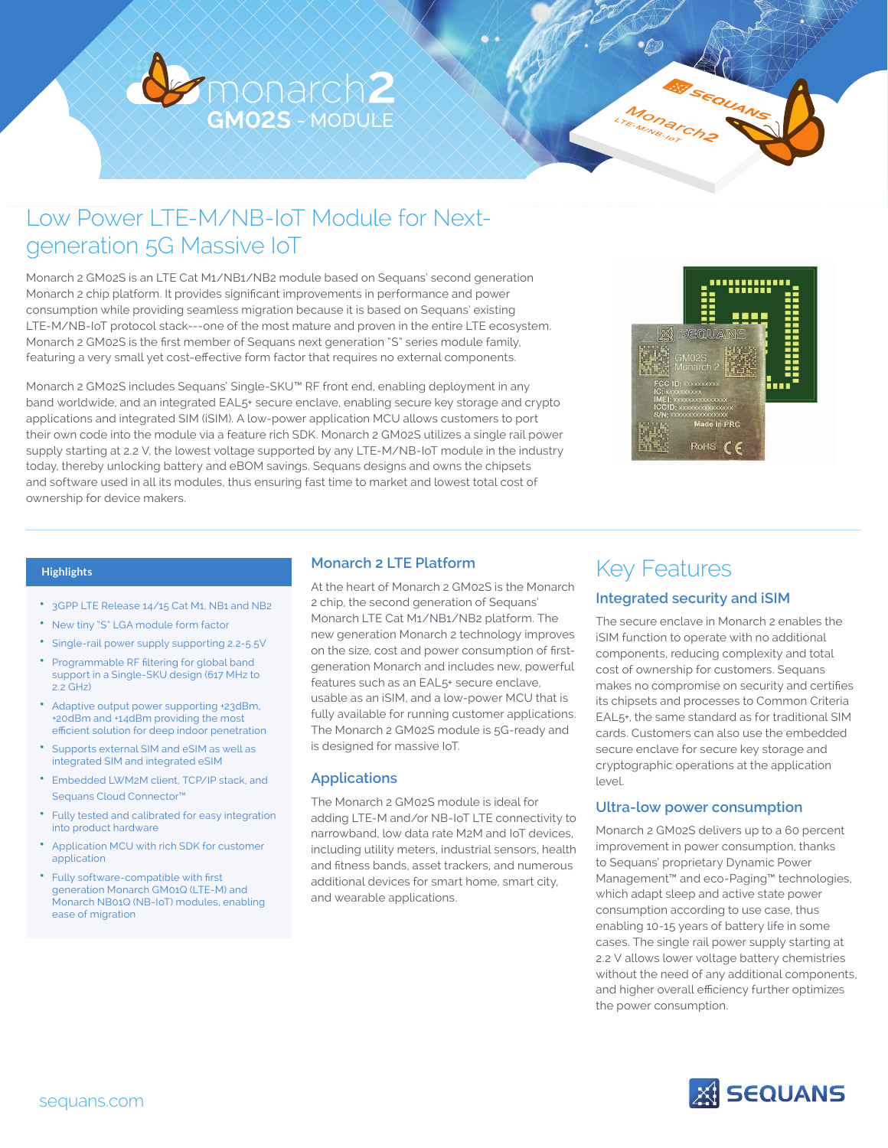

## Low Power LTE-M/NB-IoT Module for Nextgeneration 5G Massive IoT

Monarch 2 GM02S is an LTE Cat M1/NB1/NB2 module based on Sequans' second generation Monarch 2 chip platform. It provides significant improvements in performance and power consumption while providing seamless migration because it is based on Sequans' existing LTE-M/NB-IoT protocol stack---one of the most mature and proven in the entire LTE ecosystem. Monarch 2 GM02S is the first member of Sequans next generation "S" series module family, featuring a very small yet cost-effective form factor that requires no external components.

Monarch 2 GM02S includes Sequans' Single-SKU™ RF front end, enabling deployment in any band worldwide, and an integrated EAL5+ secure enclave, enabling secure key storage and crypto applications and integrated SIM (iSIM). A low-power application MCU allows customers to port their own code into the module via a feature rich SDK. Monarch 2 GM02S utilizes a single rail power supply starting at 2.2 V, the lowest voltage supported by any LTE-M/NB-IoT module in the industry today, thereby unlocking battery and eBOM savings. Sequans designs and owns the chipsets and software used in all its modules, thus ensuring fast time to market and lowest total cost of ownership for device makers.



#### **Highlights**

- 3GPP LTE Release 14/15 Cat M1, NB1 and NB2
- New tiny "S" LGA module form factor
- Single-rail power supply supporting 2.2-5.5V
- Programmable RF filtering for global band support in a Single-SKU design (617 MHz to  $2.2$  GHz)
- Adaptive output power supporting +23dBm, +20dBm and +14dBm providing the most efficient solution for deep indoor penetration
- Supports external SIM and eSIM as well as integrated SIM and integrated eSIM
- Embedded LWM2M client, TCP/IP stack, and Sequans Cloud Connector<sup>™</sup>
- Fully tested and calibrated for easy integration into product hardware
- Application MCU with rich SDK for customer application
- Fully software-compatible with first generation Monarch GM01Q (LTE-M) and Monarch NB01Q (NB-IoT) modules, enabling ease of migration

### **Monarch 2 LTE Platform**

At the heart of Monarch 2 GM02S is the Monarch 2 chip, the second generation of Sequans' Monarch LTE Cat M1/NB1/NB2 platform. The new generation Monarch 2 technology improves on the size, cost and power consumption of firstgeneration Monarch and includes new, powerful features such as an EAL5+ secure enclave, usable as an iSIM, and a low-power MCU that is fully available for running customer applications. The Monarch 2 GM02S module is 5G-ready and is designed for massive IoT.

### **Applications**

The Monarch 2 GM02S module is ideal for adding LTE-M and/or NB-IoT LTE connectivity to narrowband, low data rate M2M and IoT devices, including utility meters, industrial sensors, health and fitness bands, asset trackers, and numerous additional devices for smart home, smart city, and wearable applications.

### Key Features

### **Integrated security and iSIM**

The secure enclave in Monarch 2 enables the iSIM function to operate with no additional components, reducing complexity and total cost of ownership for customers. Sequans makes no compromise on security and certifies its chipsets and processes to Common Criteria EAL5+, the same standard as for traditional SIM cards. Customers can also use the embedded secure enclave for secure key storage and cryptographic operations at the application level.

### **Ultra-low power consumption**

Monarch 2 GM02S delivers up to a 60 percent improvement in power consumption, thanks to Sequans' proprietary Dynamic Power Management™ and eco-Paging™ technologies, which adapt sleep and active state power consumption according to use case, thus enabling 10-15 years of battery life in some cases. The single rail power supply starting at 2.2 V allows lower voltage battery chemistries without the need of any additional components, and higher overall efficiency further optimizes the power consumption.